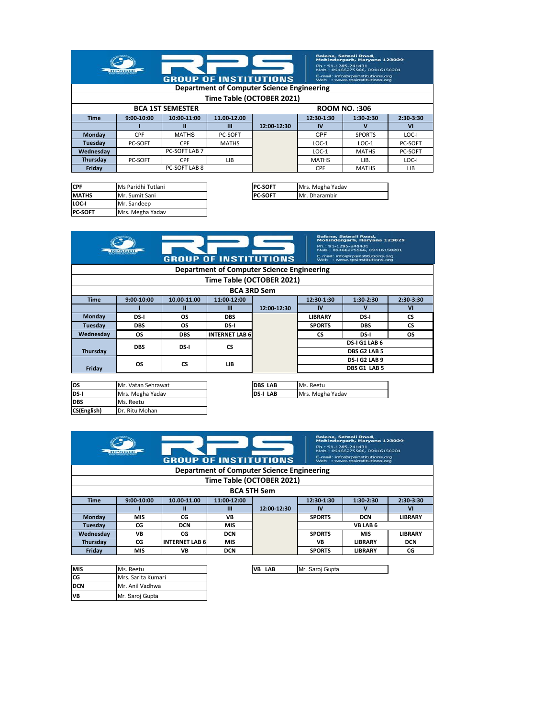|                           | <b>RPSGOI</b>  | <b>GROUP OF INSTITUTIONS</b>                        | Ph.: 91-1285-241431<br><b>Department of Computer Science Engineering</b> | Balana, Satnali Road,<br>Mohindergarh, Haryana 123029<br>Mob.: 09466275566, 09416150201<br>E-mail: info@rpsinstitutions.org<br>Web : www.rpsinstitutions.org |            |                      |                |
|---------------------------|----------------|-----------------------------------------------------|--------------------------------------------------------------------------|--------------------------------------------------------------------------------------------------------------------------------------------------------------|------------|----------------------|----------------|
| Time Table (OCTOBER 2021) |                |                                                     |                                                                          |                                                                                                                                                              |            |                      |                |
|                           |                | <b>BCA 1ST SEMESTER</b>                             |                                                                          |                                                                                                                                                              |            | <b>ROOM NO.: 306</b> |                |
| <b>Time</b>               | 9:00-10:00     | 10:00-11:00                                         | 11.00-12.00                                                              |                                                                                                                                                              | 12:30-1:30 | $1:30-2:30$          | 2:30-3:30      |
|                           |                | п                                                   | ш                                                                        | 12:00-12:30                                                                                                                                                  | IV         | v                    | V <sub>1</sub> |
| <b>Monday</b>             | CPF            | <b>MATHS</b>                                        | <b>PC-SOFT</b>                                                           |                                                                                                                                                              | CPF        | <b>SPORTS</b>        | LOC-I          |
| Tuesday                   | <b>PC-SOFT</b> | <b>CPF</b>                                          | <b>MATHS</b>                                                             |                                                                                                                                                              | $LOC-1$    | $LOC-1$              | <b>PC-SOFT</b> |
| Wednesdav                 | PC-SOFT LAB 7  |                                                     |                                                                          |                                                                                                                                                              | $LOC-1$    | <b>MATHS</b>         | <b>PC-SOFT</b> |
| Thursday                  | PC-SOFT        | <b>CPF</b><br>LIB.<br>LOC-I<br><b>MATHS</b><br>LIB. |                                                                          |                                                                                                                                                              |            |                      |                |
| Fridav                    |                | PC-SOFT LAB 8                                       |                                                                          |                                                                                                                                                              | <b>CPF</b> | <b>MATHS</b>         | LIB            |

| <b>CPF</b>     | Ms Paridhi Tutlani | <b>PC-SOFT</b> |
|----------------|--------------------|----------------|
| <b>MATHS</b>   | Mr. Sumit Sani     | <b>PC-SOFT</b> |
| LOC-I          | Mr. Sandeep        |                |
| <b>PC-SOFT</b> | Mrs. Megha Yadav   |                |

| Ms Paridhi Tutlani | <b>PC-SOFT</b> | Mrs. Megha Yadav |
|--------------------|----------------|------------------|
| Mr. Sumit Sani     | <b>PC-SOFT</b> | Mr. Dharambir    |
| .                  |                |                  |

| Balana, Satnali Road,<br>Mohindergarh, Haryana 123029<br>Ph.: 91-1285-241431<br>Mob.: 09466275566, 09416150201<br><b>RPSGO</b><br>E-mail: info@rpsinstitutions.org<br><b>GROUP OF INSTITUTIONS</b><br>Web : www.rpsinstitutions.org |                    |             |                                            |             |                |               |                |  |
|-------------------------------------------------------------------------------------------------------------------------------------------------------------------------------------------------------------------------------------|--------------------|-------------|--------------------------------------------|-------------|----------------|---------------|----------------|--|
|                                                                                                                                                                                                                                     |                    |             | Department of Computer Science Engineering |             |                |               |                |  |
|                                                                                                                                                                                                                                     |                    |             | Time Table (OCTOBER 2021)                  |             |                |               |                |  |
|                                                                                                                                                                                                                                     | <b>BCA 3RD Sem</b> |             |                                            |             |                |               |                |  |
| <b>Time</b>                                                                                                                                                                                                                         | 9:00-10:00         | 10.00-11.00 | 11:00-12:00                                |             | 12:30-1:30     | $1:30-2:30$   | 2:30-3:30      |  |
|                                                                                                                                                                                                                                     |                    | п           | Ш                                          | 12:00-12:30 | IV             | v             | V <sub>1</sub> |  |
| Monday                                                                                                                                                                                                                              | DS-I               | OS          | <b>DBS</b>                                 |             | <b>LIBRARY</b> | DS-I          | <b>CS</b>      |  |
| Tuesday                                                                                                                                                                                                                             | <b>DBS</b>         | <b>OS</b>   | DS-I                                       |             | <b>SPORTS</b>  | <b>DBS</b>    | CS             |  |
| Wednesday                                                                                                                                                                                                                           | OS                 | <b>DBS</b>  | <b>INTERNET LAB 6</b>                      |             | CS             | DS-I          | ΟS             |  |
|                                                                                                                                                                                                                                     | <b>DBS</b>         | DS-I        | <b>CS</b>                                  |             |                | DS-I G1 LAB 6 |                |  |
| Thursday                                                                                                                                                                                                                            |                    |             |                                            |             |                | DBS G2 LAB 5  |                |  |
| <b>CS</b>                                                                                                                                                                                                                           |                    |             | LIB                                        |             |                | DS-I G2 LAB 9 |                |  |
| Friday                                                                                                                                                                                                                              | OS                 |             |                                            |             | DBS G1 LAB 5   |               |                |  |
|                                                                                                                                                                                                                                     |                    |             |                                            |             |                |               |                |  |

| los         | Mr. Vatan Sehrawat | <b>DBS LAB</b>  | Ms. Reetu |
|-------------|--------------------|-----------------|-----------|
| DS-I        | Mrs. Megha Yadav   | <b>DS-I LAB</b> | Mrs. Megl |
| <b>DBS</b>  | Ms. Reetu          |                 |           |
| CS(English) | Dr. Ritu Mohan     |                 |           |

| Mr. Vatan Sehrawat | <b>DBS LAB</b>  | IMs. Reetu       |
|--------------------|-----------------|------------------|
| Mrs. Megha Yadav   | <b>DS-I LAB</b> | Mrs. Megha Yadav |
|                    |                 |                  |

| <b>RPSGO</b><br><b><i><u>ROBERTOR HOLAND</u></i></b><br><b>GROUP OF INSTITUTIONS</b> |                           |                       |             |                                                   | Ph.: 91-1285-241431 | Balana, Satnali Road,<br>Mohindergarh, Haryana 123029<br>Mob.: 09466275566, 09416150201<br>E-mail: info@rpsinstitutions.org<br>Web : www.rpsinstitutions.org |                |  |
|--------------------------------------------------------------------------------------|---------------------------|-----------------------|-------------|---------------------------------------------------|---------------------|--------------------------------------------------------------------------------------------------------------------------------------------------------------|----------------|--|
|                                                                                      |                           |                       |             | <b>Department of Computer Science Engineering</b> |                     |                                                                                                                                                              |                |  |
|                                                                                      | Time Table (OCTOBER 2021) |                       |             |                                                   |                     |                                                                                                                                                              |                |  |
|                                                                                      |                           |                       |             | <b>BCA 5TH Sem</b>                                |                     |                                                                                                                                                              |                |  |
| <b>Time</b>                                                                          | $9:00-10:00$              | 10.00-11.00           | 11:00-12:00 |                                                   | 12:30-1:30          | $1:30-2:30$                                                                                                                                                  | 2:30-3:30      |  |
|                                                                                      |                           | Ш                     | Ш           | 12:00-12:30                                       | IV                  | v                                                                                                                                                            | VI             |  |
| Monday                                                                               | MIS                       | CG                    | VB          |                                                   | <b>SPORTS</b>       | <b>DCN</b>                                                                                                                                                   | <b>LIBRARY</b> |  |
| Tuesdav                                                                              | CG                        | <b>DCN</b>            | <b>MIS</b>  |                                                   |                     | <b>VBLAB6</b>                                                                                                                                                |                |  |
| Wednesdav                                                                            | VB                        | CG                    | <b>DCN</b>  |                                                   | <b>SPORTS</b>       | <b>MIS</b>                                                                                                                                                   | <b>LIBRARY</b> |  |
| Thursday                                                                             | CG                        | <b>INTERNET LAB 6</b> | <b>MIS</b>  |                                                   | VB                  | <b>LIBRARY</b>                                                                                                                                               | <b>DCN</b>     |  |
| Fridav                                                                               | MIS                       | VB                    | <b>DCN</b>  |                                                   | <b>SPORTS</b>       | <b>LIBRARY</b>                                                                                                                                               | CG             |  |

| <b>MIS</b> | Ms. Reetu          |  | <b>VB LAB</b> |  | Mr. Saroj Gupta |
|------------|--------------------|--|---------------|--|-----------------|
| CG         | Mrs. Sarita Kumari |  |               |  |                 |
| <b>DCN</b> | Mr. Anil Vadhwa    |  |               |  |                 |
| <b>VB</b>  | Mr. Saroi Gupta    |  |               |  |                 |

 $\sim$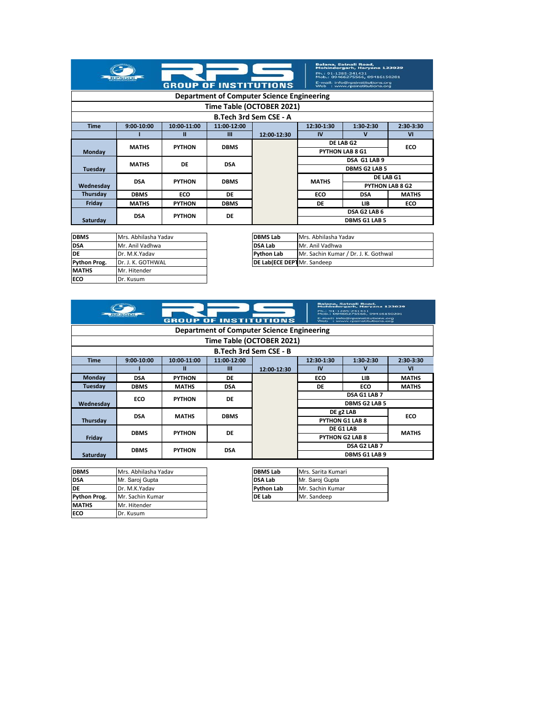| <b>RPSGC</b><br><b>GROUP OF INSTITUTIONS</b> |              |               |             |                                            | Ph.: 91-1285-241431                  | Balana, Satnali Road,<br>Mohindergarh, Harvana 123029<br>Mob.: 09466275566, 09416150201<br>E-mail: info@rpsinstitutions.org<br>Web : www.rpsinstitutions.org |                        |
|----------------------------------------------|--------------|---------------|-------------|--------------------------------------------|--------------------------------------|--------------------------------------------------------------------------------------------------------------------------------------------------------------|------------------------|
|                                              |              |               |             | Department of Computer Science Engineering |                                      |                                                                                                                                                              |                        |
|                                              |              |               |             | Time Table (OCTOBER 2021)                  |                                      |                                                                                                                                                              |                        |
|                                              |              |               |             | <b>B.Tech 3rd Sem CSE - A</b>              |                                      |                                                                                                                                                              |                        |
| <b>Time</b>                                  | $9:00-10:00$ | 10:00-11:00   | 11:00-12:00 |                                            | 12:30-1:30<br>1:30-2:30<br>2:30-3:30 |                                                                                                                                                              |                        |
|                                              |              | Ш             | Ш           | 12:00-12:30                                | IV                                   | v                                                                                                                                                            | VI                     |
|                                              | <b>MATHS</b> | <b>PYTHON</b> | <b>DBMS</b> |                                            |                                      | DE LAB G2                                                                                                                                                    | ECO                    |
| Monday                                       |              |               |             |                                            | <b>PYTHON LAB 8 G1</b>               |                                                                                                                                                              |                        |
|                                              | <b>MATHS</b> | DE            | <b>DSA</b>  |                                            |                                      | DSA G1 LAB 9                                                                                                                                                 |                        |
| Tuesday                                      |              |               |             |                                            |                                      | <b>DBMS G2 LAB 5</b>                                                                                                                                         |                        |
|                                              | <b>DSA</b>   | <b>PYTHON</b> | <b>DBMS</b> |                                            | <b>MATHS</b>                         | DE LAB G1                                                                                                                                                    |                        |
| Wednesdav                                    |              |               |             |                                            |                                      |                                                                                                                                                              | <b>PYTHON LAB 8 G2</b> |
| Thursday                                     | <b>DBMS</b>  | ECO           | DE          |                                            | ECO                                  | <b>DSA</b>                                                                                                                                                   | <b>MATHS</b>           |
| Friday                                       | <b>MATHS</b> | <b>PYTHON</b> | <b>DBMS</b> |                                            | DE                                   | LIB                                                                                                                                                          | ECO                    |
|                                              | <b>DSA</b>   | <b>PYTHON</b> | DE          |                                            | DSA G2 LAB 6                         |                                                                                                                                                              |                        |
| Saturday                                     |              |               |             |                                            |                                      | <b>DBMS G1 LAB 5</b>                                                                                                                                         |                        |

| <b>DBMS</b>  | Mrs. Abhilasha Yadav | <b>DBMS Lab</b>                    | Mrs. Abhilas |
|--------------|----------------------|------------------------------------|--------------|
| <b>DSA</b>   | Mr. Anil Vadhwa      | <b>DSA Lab</b>                     | Mr. Anil Vad |
| DE           | Dr. M.K.Yadav        | <b>Python Lab</b>                  | Mr. Sachin K |
| Python Prog. | Dr. J. K. GOTHWAL    | <b>DE Lab(ECE DEPT</b> Mr. Sandeep |              |
| <b>MATHS</b> | Mr. Hitender         |                                    |              |
| <b>ECO</b>   | Dr. Kusum            |                                    |              |

| Mrs. Abhilasha Yadav | <b>DBMS Lab</b>                    | Mrs. Abhilasha Yaday                 |
|----------------------|------------------------------------|--------------------------------------|
| Mr. Anil Vadhwa      | <b>DSA Lab</b>                     | Mr. Anil Vadhwa                      |
| Dr. M.K.Yadav        | <b>Python Lab</b>                  | Mr. Sachin Kumar / Dr. J. K. Gothwal |
| Dr. J. K. GOTHWAL    | <b>DE Lab(ECE DEPT</b> Mr. Sandeep |                                      |

|           |                                                   | <b>GROUP</b>  | <b>OF INSTITUTIONS</b> |                               | Balana, Satnali Road.<br>Mohindergarh, Harvana 123029<br>Ph.: 91-1285-241431<br>Mob.: 09466275566, 09416150201<br>E-mail: info@rpsinstitutions.org<br>Web : www.rpsinstitutions.org |                        |              |  |  |  |
|-----------|---------------------------------------------------|---------------|------------------------|-------------------------------|-------------------------------------------------------------------------------------------------------------------------------------------------------------------------------------|------------------------|--------------|--|--|--|
|           | <b>Department of Computer Science Engineering</b> |               |                        |                               |                                                                                                                                                                                     |                        |              |  |  |  |
|           |                                                   |               |                        | Time Table (OCTOBER 2021)     |                                                                                                                                                                                     |                        |              |  |  |  |
|           |                                                   |               |                        | <b>B.Tech 3rd Sem CSE - B</b> |                                                                                                                                                                                     |                        |              |  |  |  |
| Time      | 9:00-10:00                                        | 10:00-11:00   | 11:00-12:00            |                               | 12:30-1:30                                                                                                                                                                          | $1:30-2:30$            | 2:30-3:30    |  |  |  |
|           |                                                   | Ш             | Ш                      | 12:00-12:30                   | IV                                                                                                                                                                                  | $\mathbf v$            | VI           |  |  |  |
| Monday    | <b>DSA</b>                                        | <b>PYTHON</b> | DE                     |                               | ECO                                                                                                                                                                                 | LIB                    | <b>MATHS</b> |  |  |  |
| Tuesday   | <b>DBMS</b>                                       | <b>MATHS</b>  | <b>DSA</b>             |                               | DE                                                                                                                                                                                  | ECO                    | <b>MATHS</b> |  |  |  |
|           | ECO                                               | <b>PYTHON</b> | DE                     |                               |                                                                                                                                                                                     | DSA G1 LAB 7           |              |  |  |  |
| Wednesday |                                                   |               |                        |                               |                                                                                                                                                                                     | <b>DBMS G2 LAB 5</b>   |              |  |  |  |
|           | <b>DSA</b>                                        | <b>MATHS</b>  | <b>DBMS</b>            |                               |                                                                                                                                                                                     | DE g2 LAB              | ECO          |  |  |  |
| Thursday  |                                                   |               |                        | PYTHON G1 LAB 8               |                                                                                                                                                                                     |                        |              |  |  |  |
|           | <b>DBMS</b>                                       | <b>PYTHON</b> | DE                     | DE G1 LAB                     |                                                                                                                                                                                     |                        | <b>MATHS</b> |  |  |  |
| Friday    |                                                   |               |                        |                               |                                                                                                                                                                                     | <b>PYTHON G2 LAB 8</b> |              |  |  |  |
|           | <b>DBMS</b>                                       | <b>PYTHON</b> | <b>DSA</b>             |                               |                                                                                                                                                                                     | DSA G2 LAB 7           |              |  |  |  |
| Saturday  |                                                   |               |                        |                               |                                                                                                                                                                                     | <b>DBMS G1 LAB 9</b>   |              |  |  |  |

| <b>DBMS</b>  | Mrs. Abhilasha Yadav | <b>DBMS Lab</b>   | Mrs. Sarita K |
|--------------|----------------------|-------------------|---------------|
| <b>DSA</b>   | Mr. Saroj Gupta      | <b>DSA Lab</b>    | Mr. Saroj Gu  |
| DE           | Dr. M.K.Yadav        | <b>Python Lab</b> | Mr. Sachin K  |
| Python Prog. | Mr. Sachin Kumar     | <b>DE Lab</b>     | Mr. Sandeep   |
| <b>MATHS</b> | Mr. Hitender         |                   |               |
| ECO          | Dr. Kusum            |                   |               |

| Mrs. Abhilasha Yadav | <b>DBMS Lab</b>   | Mrs. Sarita Kumari |
|----------------------|-------------------|--------------------|
| Mr. Saroi Gupta      | <b>DSA Lab</b>    | Mr. Saroi Gupta    |
| Dr. M.K.Yadav        | <b>Python Lab</b> | Mr. Sachin Kumar   |
| Mr. Sachin Kumar     | <b>DE Lab</b>     | Mr. Sandeep        |
|                      |                   |                    |